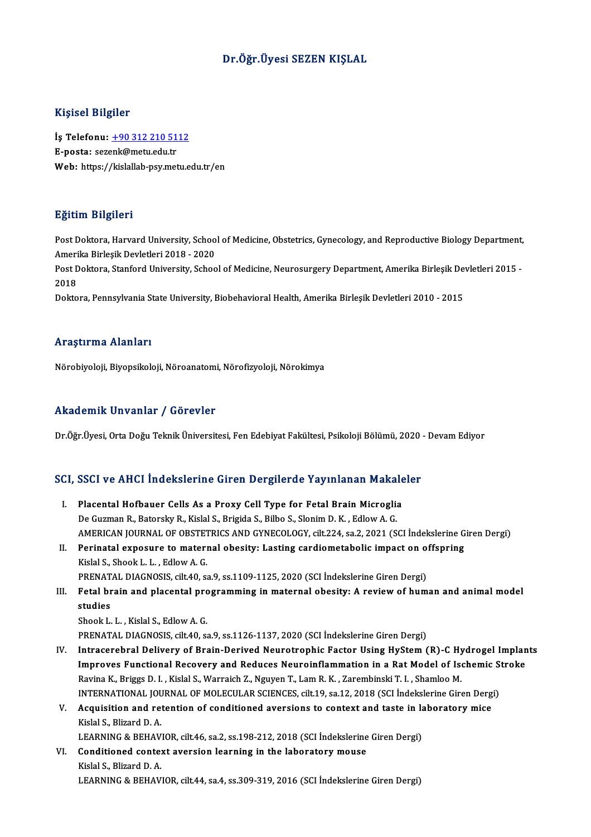# Dr.Öğr.Üyesi SEZEN KIŞLAL

## Kişisel Bilgiler

Kişisel Bilgiler<br>İş Telefonu: <u>+90 312 210 5112</u><br>E nosta: sazark@matu.edu.tr 11131021<br>İş Telefonu: <u>+90 312 210 51</u><br>E-posta: sez[enk@metu.edu.tr](tel:+90 312 210 5112)<br>Web: https://kislallab.nsv.met E-posta: sezenk@metu.edu.tr<br>Web: https://kislallab-psy.metu.edu.tr/en

## Eğitim Bilgileri

Eğitim Bilgileri<br>Post Doktora, Harvard University, School of Medicine, Obstetrics, Gynecology, and Reproductive Biology Department,<br>Amerika Birlesik Devletleri 2018, 2020 Agresser<br>Post Doktora, Harvard University, Schoo<br>Amerika Birleşik Devletleri 2018 - 2020<br>Post Doktora, Stanford University, Schoo Post Doktora, Harvard University, School of Medicine, Obstetrics, Gynecology, and Reproductive Biology Department,<br>Amerika Birleşik Devletleri 2018 - 2020<br>Post Doktora, Stanford University, School of Medicine, Neurosurgery

Ameri<br>Post <mark>L</mark><br>2018 Post Doktora, Stanford University, School of Medicine, Neurosurgery Department, Amerika Birleşik De<br>2018<br>Doktora, Pennsylvania State University, Biobehavioral Health, Amerika Birleşik Devletleri 2010 - 2015

Doktora, Pennsylvania State University, Biobehavioral Health, Amerika Birleşik Devletleri 2010 - 2015<br>Araştırma Alanları

Nörobiyoloji, Biyopsikoloji, Nöroanatomi, Nörofizyoloji, Nörokimya

## Akademik Unvanlar / Görevler

Dr.Öğr.Üyesi, Orta Doğu Teknik Üniversitesi, Fen Edebiyat Fakültesi, Psikoloji Bölümü, 2020 - Devam Ediyor

# Dr.ogr.oyesi, orta boğu Teknik öniversitesi, Fen Edebiyat Fakultesi, Fsikoloji Bolumu, 2020<br>SCI, SSCI ve AHCI İndekslerine Giren Dergilerde Yayınlanan Makaleler

- CI, SSCI ve AHCI İndekslerine Giren Dergilerde Yayınlanan Makale<br>I. Placental Hofbauer Cells As a Proxy Cell Type for Fetal Brain Microglia<br>De Curman B. Petersky B. Kislal S. Briside S. Bilbe S. Slanim D. K. Edlew A. C. I. Placental Hofbauer Cells As a Proxy Cell Type for Fetal Brain Microglia<br>De Guzman R., Batorsky R., Kislal S., Brigida S., Bilbo S., Slonim D. K., Edlow A. G. Placental Hofbauer Cells As a Proxy Cell Type for Fetal Brain Microglia<br>De Guzman R., Batorsky R., Kislal S., Brigida S., Bilbo S., Slonim D. K. , Edlow A. G.<br>AMERICAN JOURNAL OF OBSTETRICS AND GYNECOLOGY, cilt.224, sa.2, De Guzman R., Batorsky R., Kislal S., Brigida S., Bilbo S., Slonim D. K., Edlow A. G.<br>AMERICAN JOURNAL OF OBSTETRICS AND GYNECOLOGY, cilt.224, sa.2, 2021 (SCI Indekslerine G<br>II. Perinatal exposure to maternal obesity: Last
- AMERICAN JOURNAL OF OBSTET<br>Perinatal exposure to materi<br>Kislal S., Shook L. L. , Edlow A. G.<br>PRENATAL DIAGNOSIS silt 40 S Perinatal exposure to maternal obesity: Lasting cardiometabolic impact on o:<br>Kislal S., Shook L. L. , Edlow A. G.<br>PRENATAL DIAGNOSIS, cilt.40, sa.9, ss.1109-1125, 2020 (SCI İndekslerine Giren Dergi)<br>Estal brain and plasent Kislal S., Shook L. L. , Edlow A. G.<br>PRENATAL DIAGNOSIS, cilt.40, sa.9, ss.1109-1125, 2020 (SCI İndekslerine Giren Dergi)<br>III. Fetal brain and placental programming in maternal obesity: A review of human and animal mode
- PRENAT<br>Fetal br<br>studies<br><sup>Shook I</sup> **Fetal brain and placental pro<br>studies<br>Shook L. L. , Kislal S., Edlow A. G.<br>PRENATAL DIACNOSIS, cilt 40, 6:** studies<br>Shook L. L. , Kislal S., Edlow A. G.<br>PRENATAL DIAGNOSIS, cilt.40, sa.9, ss.1126-1137, 2020 (SCI İndekslerine Giren Dergi)

- Shook L. L. , Kislal S., Edlow A. G.<br>PRENATAL DIAGNOSIS, cilt.40, sa.9, ss.1126-1137, 2020 (SCI İndekslerine Giren Dergi)<br>IV. Intracerebral Delivery of Brain-Derived Neurotrophic Factor Using HyStem (R)-C Hydrogel Implants PRENATAL DIAGNOSIS, cilt.40, sa.9, ss.1126-1137, 2020 (SCI İndekslerine Giren Dergi)<br>Intracerebral Delivery of Brain-Derived Neurotrophic Factor Using HyStem (R)-C Hydrogel Implan<br>Improves Functional Recovery and Reduces N Intracerebral Delivery of Brain-Derived Neurotrophic Factor Using HyStem (R)-C Hy<br>Improves Functional Recovery and Reduces Neuroinflammation in a Rat Model of Ise<br>Ravina K., Briggs D. I. , Kislal S., Warraich Z., Nguyen T. Improves Functional Recovery and Reduces Neuroinflammation in a Rat Model of Ischemic S<br>Ravina K., Briggs D. I. , Kislal S., Warraich Z., Nguyen T., Lam R. K. , Zarembinski T. I. , Shamloo M.<br>INTERNATIONAL JOURNAL OF MOLEC Ravina K., Briggs D. I. , Kislal S., Warraich Z., Nguyen T., Lam R. K. , Zarembinski T. I. , Shamloo M.<br>INTERNATIONAL JOURNAL OF MOLECULAR SCIENCES, cilt.19, sa.12, 2018 (SCI Indekslerine Giren Derg<br>V. Acquisition and rete
- INTERNATIONAL JOURNAL OF MOLECULAR SCIENCES, cilt.19, sa.12, 2018 (SCI İndekslerine Giren Dergi)<br>Acquisition and retention of conditioned aversions to context and taste in laboratory mice<br>Kislal S., Blizard D. A. V. Acquisition and retention of conditioned aversions to context and taste in laboratory mice
	- LEARNING & BEHAVIOR, cilt46, sa.2, ss.198-212, 2018 (SCI İndekslerine Giren Dergi)
- VI. Conditioned context aversion learning in the laboratory mouse<br>Kislal S., Blizard D. A. LEARNING & BEHAVIOR, cilt.44, sa.4, ss.309-319, 2016 (SCI İndekslerine Giren Dergi)